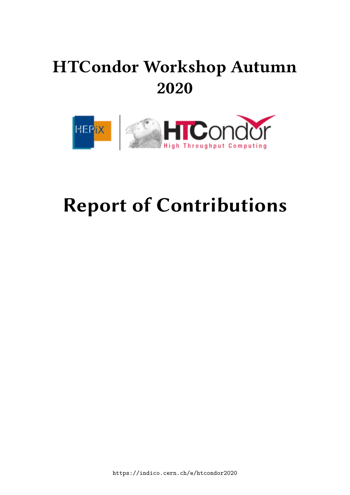# **HTCondor Workshop Autumn 2020**



# **Report of Contributions**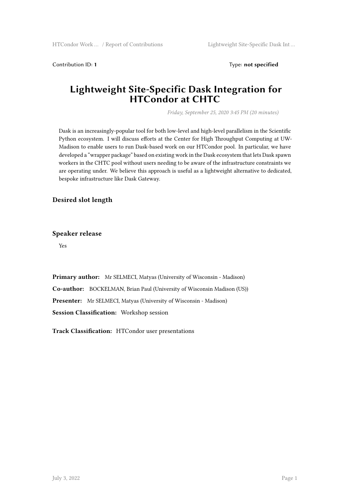Contribution ID: **1** Type: **not specified**

### **Lightweight Site-Specific Dask Integration for HTCondor at CHTC**

*Friday, September 25, 2020 3:45 PM (20 minutes)*

Dask is an increasingly-popular tool for both low-level and high-level parallelism in the Scientific Python ecosystem. I will discuss efforts at the Center for High Throughput Computing at UW-Madison to enable users to run Dask-based work on our HTCondor pool. In particular, we have developed a "wrapper package" based on existing work in the Dask ecosystem that lets Dask spawn workers in the CHTC pool without users needing to be aware of the infrastructure constraints we are operating under. We believe this approach is useful as a lightweight alternative to dedicated, bespoke infrastructure like Dask Gateway.

### **Desired slot length**

#### **Speaker release**

Yes

**Primary author:** Mr SELMECI, Matyas (University of Wisconsin - Madison) **Co-author:** BOCKELMAN, Brian Paul (University of Wisconsin Madison (US)) **Presenter:** Mr SELMECI, Matyas (University of Wisconsin - Madison) **Session Classification:** Workshop session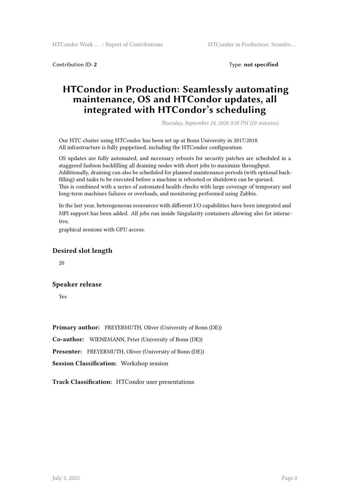**Contribution ID: 2** Type: **not specified** 

### **HTCondor in Production: Seamlessly automating maintenance, OS and HTCondor updates, all integrated with HTCondor's scheduling**

*Thursday, September 24, 2020 3:35 PM (20 minutes)*

Our HTC cluster using HTCondor has been set up at Bonn University in 2017/2018. All infrastructure is fully puppetised, including the HTCondor configuration.

OS updates are fully automated, and necessary reboots for security patches are scheduled in a staggered fashion backfilling all draining nodes with short jobs to maximize throughput. Additionally, draining can also be scheduled for planned maintenance periods (with optional backfilling) and tasks to be executed before a machine is rebooted or shutdown can be queued. This is combined with a series of automated health checks with large coverage of temporary and long-term machines failures or overloads, and monitoring performed using Zabbix.

In the last year, heterogeneous ressources with different I/O capabilities have been integrated and MPI support has been added. All jobs run inside Singularity containers allowing also for interactive,

graphical sessions with GPU access.

#### **Desired slot length**

20

#### **Speaker release**

Yes

**Primary author:** FREYERMUTH, Oliver (University of Bonn (DE))

**Co-author:** WIENEMANN, Peter (University of Bonn (DE))

**Presenter:** FREYERMUTH, Oliver (University of Bonn (DE))

**Session Classification:** Workshop session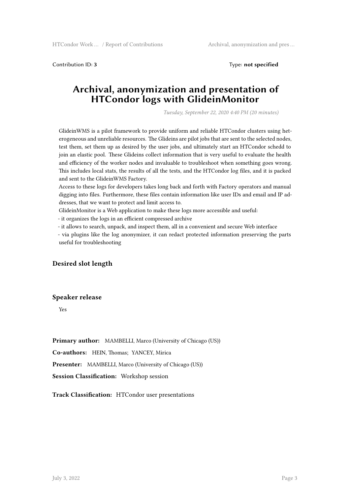Contribution ID: **3** Type: **not specified**

### **Archival, anonymization and presentation of HTCondor logs with GlideinMonitor**

*Tuesday, September 22, 2020 4:40 PM (20 minutes)*

GlideinWMS is a pilot framework to provide uniform and reliable HTCondor clusters using heterogeneous and unreliable resources. The Glideins are pilot jobs that are sent to the selected nodes, test them, set them up as desired by the user jobs, and ultimately start an HTCondor schedd to join an elastic pool. These Glideins collect information that is very useful to evaluate the health and efficiency of the worker nodes and invaluable to troubleshoot when something goes wrong. This includes local stats, the results of all the tests, and the HTCondor log files, and it is packed and sent to the GlideinWMS Factory.

Access to these logs for developers takes long back and forth with Factory operators and manual digging into files. Furthermore, these files contain information like user IDs and email and IP addresses, that we want to protect and limit access to.

GlideinMonitor is a Web application to make these logs more accessible and useful:

- it organizes the logs in an efficient compressed archive

- it allows to search, unpack, and inspect them, all in a convenient and secure Web interface

- via plugins like the log anonymizer, it can redact protected information preserving the parts useful for troubleshooting

#### **Desired slot length**

#### **Speaker release**

Yes

**Primary author:** MAMBELLI, Marco (University of Chicago (US))

**Co-authors:** HEIN, Thomas; YANCEY, Mirica

**Presenter:** MAMBELLI, Marco (University of Chicago (US))

**Session Classification:** Workshop session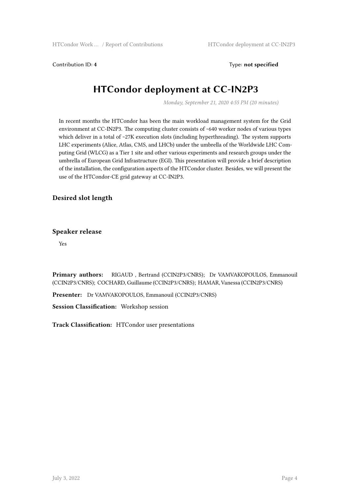Contribution ID: **4** Type: **not specified**

# **HTCondor deployment at CC-IN2P3**

*Monday, September 21, 2020 4:55 PM (20 minutes)*

In recent months the HTCondor has been the main workload management system for the Grid environment at CC-IN2P3. The computing cluster consists of ~640 worker nodes of various types which deliver in a total of ~27K execution slots (including hyperthreading). The system supports LHC experiments (Alice, Atlas, CMS, and LHCb) under the umbrella of the Worldwide LHC Computing Grid (WLCG) as a Tier 1 site and other various experiments and research groups under the umbrella of European Grid Infrastructure (EGI). This presentation will provide a brief description of the installation, the configuration aspects of the HTCondor cluster. Besides, we will present the use of the HTCondor-CE grid gateway at CC-IN2P3.

### **Desired slot length**

#### **Speaker release**

Yes

**Primary authors:** RIGAUD , Bertrand (CCIN2P3/CNRS); Dr VAMVAKOPOULOS, Emmanouil (CCIN2P3/CNRS); COCHARD, Guillaume (CCIN2P3/CNRS); HAMAR, Vanessa (CCIN2P3/CNRS)

**Presenter:** Dr VAMVAKOPOULOS, Emmanouil (CCIN2P3/CNRS)

**Session Classification:** Workshop session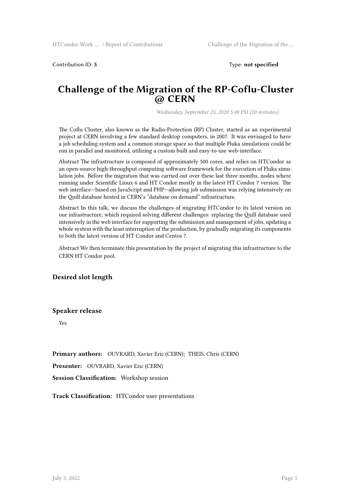Contribution ID: **5** Type: **not specified**

### **Challenge of the Migration of the RP-Coflu-Cluster @ CERN**

*Wednesday, September 23, 2020 5:40 PM (20 minutes)*

The Coflu Cluster, also known as the Radio-Protection (RP) Cluster, started as an experimental project at CERN involving a few standard desktop computers, in 2007. It was envisaged to have a job scheduling system and a common storage space so that multiple Fluka simulations could be run in parallel and monitored, utilizing a custom built and easy-to-use web-interface.

Abstract The infrastructure is composed of approximately 500 cores, and relies on HTCondor as an open-source high-throughput computing software framework for the execution of Fluka simulation jobs. Before the migration that was carried out over these last three months, nodes where running under Scientific Linux 6 and HT Condor mostly in the latest HT Condor 7 version. The web interface—based on JavaScript and PHP—allowing job submission was relying intensively on the Quill database hosted in CERN's "database on demand" infrastructure.

Abstract In this talk, we discuss the challenges of migrating HTCondor to its latest version on our infrastructure, which required solving different challenges: replacing the Quill database used intensively in the web interface for supporting the submission and management of jobs, updating a whole system with the least interruption of the production, by gradually migrating its components to both the latest version of HT Condor and Centos 7.

Abstract We then terminate this presentation by the project of migrating this infrastructure to the CERN HT Condor pool.

**Desired slot length**

#### **Speaker release**

Yes

**Primary authors:** OUVRARD, Xavier Eric (CERN); THEIS, Chris (CERN)

**Presenter:** OUVRARD, Xavier Eric (CERN)

**Session Classification:** Workshop session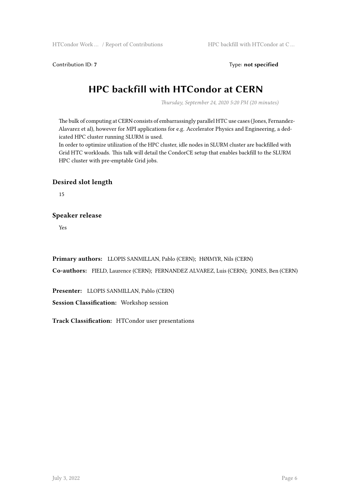Contribution ID: 7 Type: **not specified** 

# **HPC backfill with HTCondor at CERN**

*Thursday, September 24, 2020 5:20 PM (20 minutes)*

The bulk of computing at CERN consists of embarrassingly parallel HTC use cases (Jones, Fernandez-Alavarez et al), however for MPI applications for e.g. Accelerator Physics and Engineering, a dedicated HPC cluster running SLURM is used.

In order to optimize utilization of the HPC cluster, idle nodes in SLURM cluster are backfilled with Grid HTC workloads. This talk will detail the CondorCE setup that enables backfill to the SLURM HPC cluster with pre-emptable Grid jobs.

#### **Desired slot length**

15

#### **Speaker release**

Yes

**Primary authors:** LLOPIS SANMILLAN, Pablo (CERN); HØIMYR, Nils (CERN)

**Co-authors:** FIELD, Laurence (CERN); FERNANDEZ ALVAREZ, Luis (CERN); JONES, Ben (CERN)

**Presenter:** LLOPIS SANMILLAN, Pablo (CERN)

**Session Classification:** Workshop session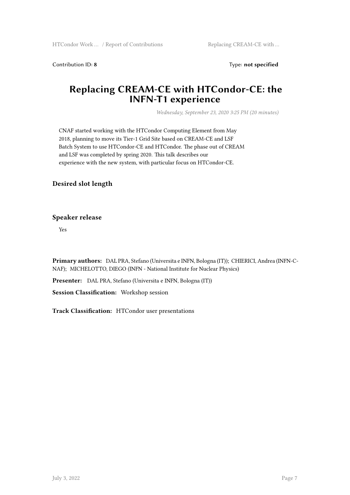Contribution ID: 8 Type: not specified

### **Replacing CREAM-CE with HTCondor-CE: the INFN-T1 experience**

*Wednesday, September 23, 2020 3:25 PM (20 minutes)*

CNAF started working with the HTCondor Computing Element from May 2018, planning to move its Tier-1 Grid Site based on CREAM-CE and LSF Batch System to use HTCondor-CE and HTCondor. The phase out of CREAM and LSF was completed by spring 2020. This talk describes our experience with the new system, with particular focus on HTCondor-CE.

### **Desired slot length**

#### **Speaker release**

Yes

**Primary authors:** DAL PRA, Stefano (Universita e INFN, Bologna (IT)); CHIERICI, Andrea (INFN-C-NAF); MICHELOTTO, DIEGO (INFN - National Institute for Nuclear Physics)

**Presenter:** DAL PRA, Stefano (Universita e INFN, Bologna (IT))

**Session Classification:** Workshop session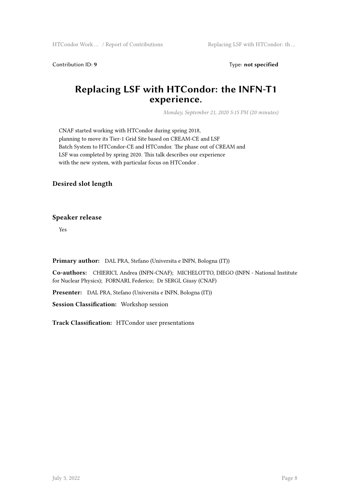Contribution ID: 9 Type: not specified

### **Replacing LSF with HTCondor: the INFN-T1 experience.**

*Monday, September 21, 2020 5:15 PM (20 minutes)*

CNAF started working with HTCondor during spring 2018, planning to move its Tier-1 Grid Site based on CREAM-CE and LSF Batch System to HTCondor-CE and HTCondor. The phase out of CREAM and LSF was completed by spring 2020. This talk describes our experience with the new system, with particular focus on HTCondor .

### **Desired slot length**

#### **Speaker release**

Yes

**Primary author:** DAL PRA, Stefano (Universita e INFN, Bologna (IT))

**Co-authors:** CHIERICI, Andrea (INFN-CNAF); MICHELOTTO, DIEGO (INFN - National Institute for Nuclear Physics); FORNARI, Federico; Dr SERGI, Giusy (CNAF)

**Presenter:** DAL PRA, Stefano (Universita e INFN, Bologna (IT))

**Session Classification:** Workshop session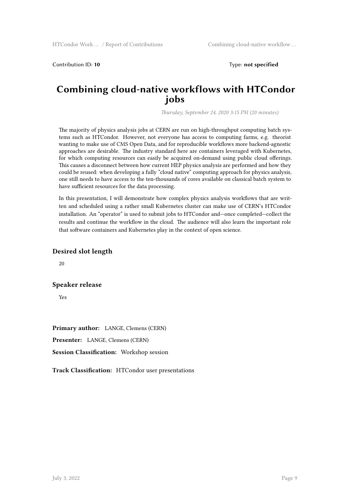Contribution ID: 10 **Type:** not specified

### **Combining cloud-native workflows with HTCondor jobs**

*Thursday, September 24, 2020 3:15 PM (20 minutes)*

The majority of physics analysis jobs at CERN are run on high-throughput computing batch systems such as HTCondor. However, not everyone has access to computing farms, e.g. theorist wanting to make use of CMS Open Data, and for reproducible workflows more backend-agnostic approaches are desirable. The industry standard here are containers leveraged with Kubernetes, for which computing resources can easily be acquired on-demand using public cloud offerings. This causes a disconnect between how current HEP physics analysis are performed and how they could be reused: when developing a fully "cloud native" computing approach for physics analysis, one still needs to have access to the ten-thousands of cores available on classical batch system to have sufficient resources for the data processing.

In this presentation, I will demonstrate how complex physics analysis workflows that are written and scheduled using a rather small Kubernetes cluster can make use of CERN's HTCondor installation. An "operator" is used to submit jobs to HTCondor and—once completed—collect the results and continue the workflow in the cloud. The audience will also learn the important role that software containers and Kubernetes play in the context of open science.

#### **Desired slot length**

20

#### **Speaker release**

Yes

**Primary author:** LANGE, Clemens (CERN) **Presenter:** LANGE, Clemens (CERN) **Session Classification:** Workshop session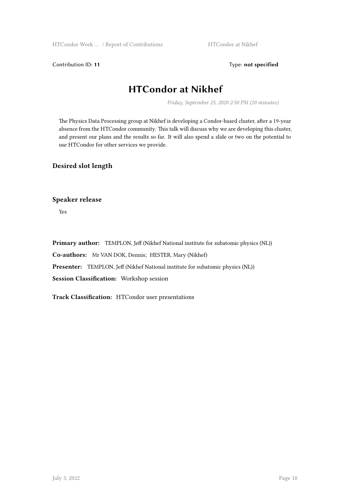Contribution ID: 11 Type: **not specified** 

### **HTCondor at Nikhef**

*Friday, September 25, 2020 2:50 PM (20 minutes)*

The Physics Data Processing group at Nikhef is developing a Condor-based cluster, after a 19-year absence from the HTCondor community. This talk will discuss why we are developing this cluster, and present our plans and the results so far. It will also spend a slide or two on the potential to use HTCondor for other services we provide.

### **Desired slot length**

**Speaker release**

Yes

**Primary author:** TEMPLON, Jeff (Nikhef National institute for subatomic physics (NL)) **Co-authors:** Mr VAN DOK, Dennis; HESTER, Mary (Nikhef) **Presenter:** TEMPLON, Jeff (Nikhef National institute for subatomic physics (NL)) **Session Classification:** Workshop session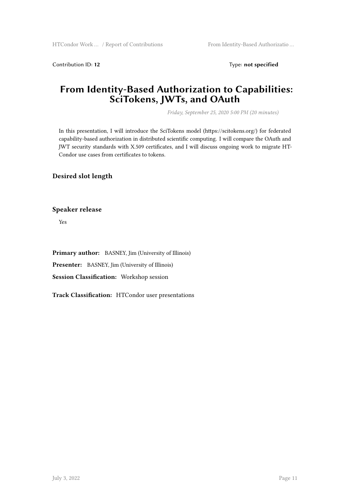Contribution ID: 12 Type: **not specified** 

### **From Identity-Based Authorization to Capabilities: SciTokens, JWTs, and OAuth**

*Friday, September 25, 2020 5:00 PM (20 minutes)*

In this presentation, I will introduce the SciTokens model (https://scitokens.org/) for federated capability-based authorization in distributed scientific computing. I will compare the OAuth and JWT security standards with X.509 certificates, and I will discuss ongoing work to migrate HT-Condor use cases from certificates to tokens.

**Desired slot length**

**Speaker release**

Yes

**Primary author:** BASNEY, Jim (University of Illinois) **Presenter:** BASNEY, Jim (University of Illinois) **Session Classification:** Workshop session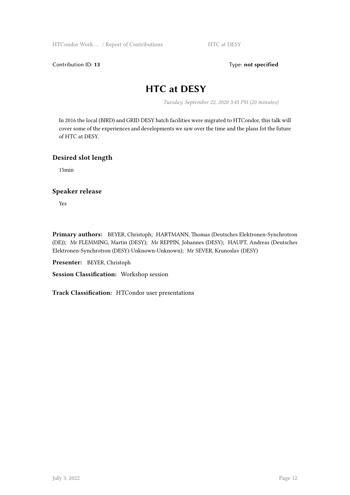Contribution ID: 13 Type: **not specified** 

### **HTC at DESY**

*Tuesday, September 22, 2020 3:45 PM (20 minutes)*

In 2016 the local (BIRD) and GRID DESY batch facilities were migrated to HTCondor, this talk will cover some of the experiences and developments we saw over the time and the plans fot the future of HTC at DESY.

#### **Desired slot length**

15min

#### **Speaker release**

Yes

**Primary authors:** BEYER, Christoph; HARTMANN, Thomas (Deutsches Elektronen-Synchrotron (DE)); Mr FLEMMING, Martin (DESY); Mr REPPIN, Johannes (DESY); HAUPT, Andreas (Deutsches Elektronen-Synchrotron (DESY)-Unknown-Unknown); Mr SEVER, Krunoslav (DESY)

**Presenter:** BEYER, Christoph

**Session Classification:** Workshop session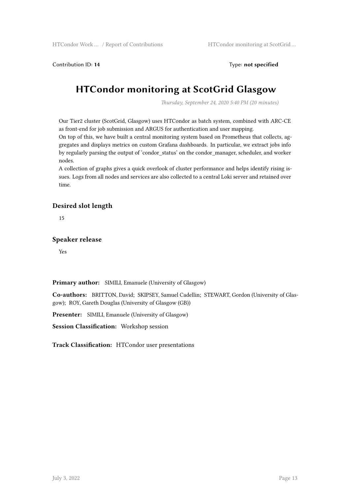Contribution ID: **14** Type: **not specified**

# **HTCondor monitoring at ScotGrid Glasgow**

*Thursday, September 24, 2020 5:40 PM (20 minutes)*

Our Tier2 cluster (ScotGrid, Glasgow) uses HTCondor as batch system, combined with ARC-CE as front-end for job submission and ARGUS for authentication and user mapping.

On top of this, we have built a central monitoring system based on Prometheus that collects, aggregates and displays metrics on custom Grafana dashboards. In particular, we extract jobs info by regularly parsing the output of 'condor status' on the condor manager, scheduler, and worker nodes.

A collection of graphs gives a quick overlook of cluster performance and helps identify rising issues. Logs from all nodes and services are also collected to a central Loki server and retained over time.

### **Desired slot length**

15

#### **Speaker release**

Yes

**Primary author:** SIMILI, Emanuele (University of Glasgow)

**Co-authors:** BRITTON, David; SKIPSEY, Samuel Cadellin; STEWART, Gordon (University of Glasgow); ROY, Gareth Douglas (University of Glasgow (GB))

**Presenter:** SIMILI, Emanuele (University of Glasgow)

**Session Classification:** Workshop session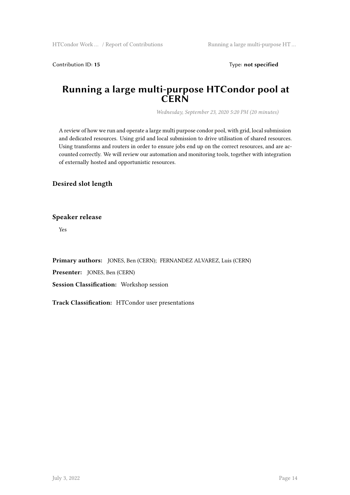Contribution ID: 15 Type: **not specified** 

### **Running a large multi-purpose HTCondor pool at CERN**

*Wednesday, September 23, 2020 5:20 PM (20 minutes)*

A review of how we run and operate a large multi purpose condor pool, with grid, local submission and dedicated resources. Using grid and local submission to drive utilisation of shared resources. Using transforms and routers in order to ensure jobs end up on the correct resources, and are accounted correctly. We will review our automation and monitoring tools, together with integration of externally hosted and opportunistic resources.

### **Desired slot length**

**Speaker release**

Yes

**Primary authors:** JONES, Ben (CERN); FERNANDEZ ALVAREZ, Luis (CERN)

**Presenter:** JONES, Ben (CERN)

**Session Classification:** Workshop session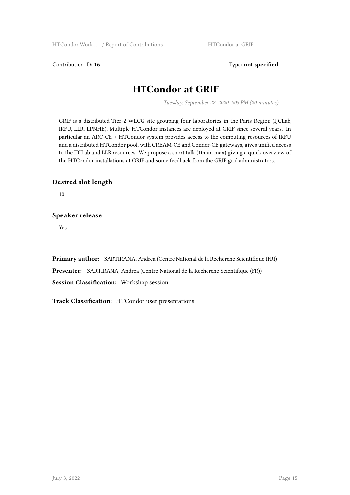Contribution ID: 16 Type: not specified

### **HTCondor at GRIF**

*Tuesday, September 22, 2020 4:05 PM (20 minutes)*

GRIF is a distributed Tier-2 WLCG site grouping four laboratories in the Paris Region (IJCLab, IRFU, LLR, LPNHE). Multiple HTCondor instances are deployed at GRIF since several years. In particular an ARC-CE + HTCondor system provides access to the computing resources of IRFU and a distributed HTCondor pool, with CREAM-CE and Condor-CE gateways, gives unified access to the IJCLab and LLR resources. We propose a short talk (10min max) giving a quick overview of the HTCondor installations at GRIF and some feedback from the GRIF grid administrators.

### **Desired slot length**

10

### **Speaker release**

Yes

**Primary author:** SARTIRANA, Andrea (Centre National de la Recherche Scientifique (FR)) **Presenter:** SARTIRANA, Andrea (Centre National de la Recherche Scientifique (FR)) **Session Classification:** Workshop session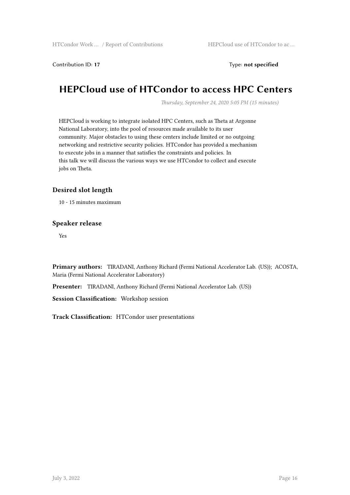Contribution ID: 17 Type: **not specified** 

### **HEPCloud use of HTCondor to access HPC Centers**

*Thursday, September 24, 2020 5:05 PM (15 minutes)*

HEPCloud is working to integrate isolated HPC Centers, such as Theta at Argonne National Laboratory, into the pool of resources made available to its user community. Major obstacles to using these centers include limited or no outgoing networking and restrictive security policies. HTCondor has provided a mechanism to execute jobs in a manner that satisfies the constraints and policies. In this talk we will discuss the various ways we use HTCondor to collect and execute jobs on Theta.

#### **Desired slot length**

10 - 15 minutes maximum

#### **Speaker release**

Yes

**Primary authors:** TIRADANI, Anthony Richard (Fermi National Accelerator Lab. (US)); ACOSTA, Maria (Fermi National Accelerator Laboratory)

**Presenter:** TIRADANI, Anthony Richard (Fermi National Accelerator Lab. (US))

**Session Classification:** Workshop session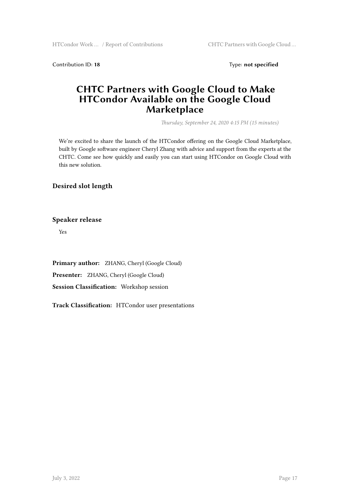Contribution ID: 18 Type: not specified

### **CHTC Partners with Google Cloud to Make HTCondor Available on the Google Cloud Marketplace**

*Thursday, September 24, 2020 4:15 PM (15 minutes)*

We're excited to share the launch of the HTCondor offering on the Google Cloud Marketplace, built by Google software engineer Cheryl Zhang with advice and support from the experts at the CHTC. Come see how quickly and easily you can start using HTCondor on Google Cloud with this new solution.

### **Desired slot length**

**Speaker release**

Yes

**Primary author:** ZHANG, Cheryl (Google Cloud) **Presenter:** ZHANG, Cheryl (Google Cloud) **Session Classification:** Workshop session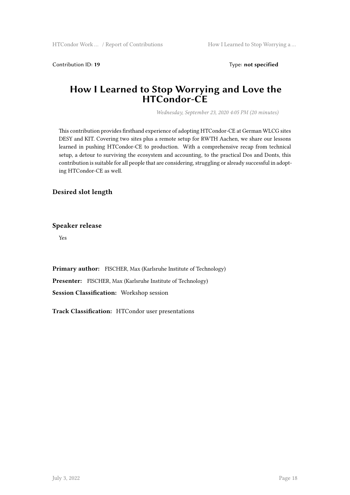Contribution ID: 19 Type: **not specified** 

### **How I Learned to Stop Worrying and Love the HTCondor-CE**

*Wednesday, September 23, 2020 4:05 PM (20 minutes)*

This contribution provides firsthand experience of adopting HTCondor-CE at German WLCG sites DESY and KIT. Covering two sites plus a remote setup for RWTH Aachen, we share our lessons learned in pushing HTCondor-CE to production. With a comprehensive recap from technical setup, a detour to surviving the ecosystem and accounting, to the practical Dos and Donts, this contribution is suitable for all people that are considering, struggling or already successful in adopting HTCondor-CE as well.

**Desired slot length**

#### **Speaker release**

Yes

**Primary author:** FISCHER, Max (Karlsruhe Institute of Technology) **Presenter:** FISCHER, Max (Karlsruhe Institute of Technology) **Session Classification:** Workshop session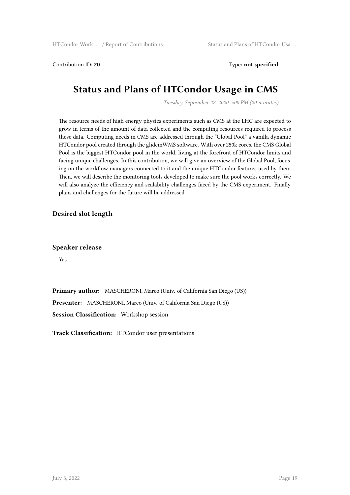Contribution ID: 20 Type: **not specified** 

### **Status and Plans of HTCondor Usage in CMS**

*Tuesday, September 22, 2020 5:00 PM (20 minutes)*

The resource needs of high energy physics experiments such as CMS at the LHC are expected to grow in terms of the amount of data collected and the computing resources required to process these data. Computing needs in CMS are addressed through the "Global Pool" a vanilla dynamic HTCondor pool created through the glideinWMS software. With over 250k cores, the CMS Global Pool is the biggest HTCondor pool in the world, living at the forefront of HTCondor limits and facing unique challenges. In this contribution, we will give an overview of the Global Pool, focusing on the workflow managers connected to it and the unique HTCondor features used by them. Then, we will describe the monitoring tools developed to make sure the pool works correctly. We will also analyze the efficiency and scalability challenges faced by the CMS experiment. Finally, plans and challenges for the future will be addressed.

#### **Desired slot length**

**Speaker release**

Yes

**Primary author:** MASCHERONI, Marco (Univ. of California San Diego (US)) **Presenter:** MASCHERONI, Marco (Univ. of California San Diego (US)) **Session Classification:** Workshop session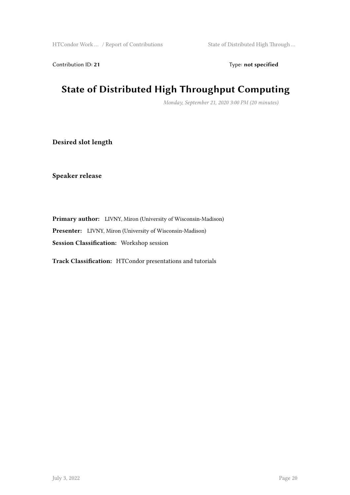Contribution ID: 21 Type: **not specified** 

# **State of Distributed High Throughput Computing**

*Monday, September 21, 2020 3:00 PM (20 minutes)*

**Desired slot length**

**Speaker release**

**Primary author:** LIVNY, Miron (University of Wisconsin-Madison) **Presenter:** LIVNY, Miron (University of Wisconsin-Madison) **Session Classification:** Workshop session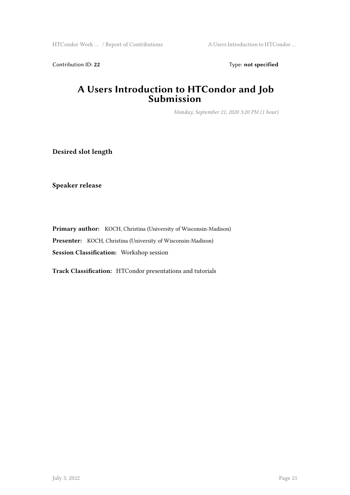HTCondor Work … / Report of Contributions A Users Introduction to HTCondor …

Contribution ID: 22 Type: **not specified** 

### **A Users Introduction to HTCondor and Job Submission**

*Monday, September 21, 2020 3:20 PM (1 hour)*

**Desired slot length**

**Speaker release**

**Primary author:** KOCH, Christina (University of Wisconsin-Madison) **Presenter:** KOCH, Christina (University of Wisconsin-Madison) **Session Classification:** Workshop session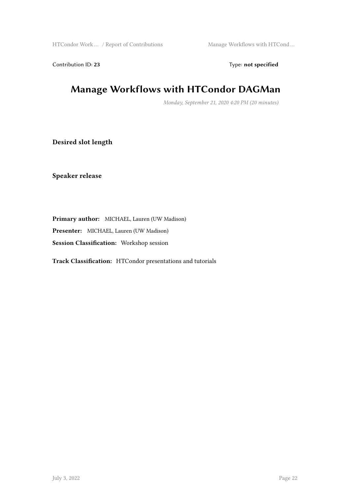HTCondor Work ... / Report of Contributions Manage Workflows with HTCond ...

Contribution ID: 23 Type: **not specified** 

# **Manage Workflows with HTCondor DAGMan**

*Monday, September 21, 2020 4:20 PM (20 minutes)*

**Desired slot length**

**Speaker release**

**Primary author:** MICHAEL, Lauren (UW Madison) **Presenter:** MICHAEL, Lauren (UW Madison)

**Session Classification:** Workshop session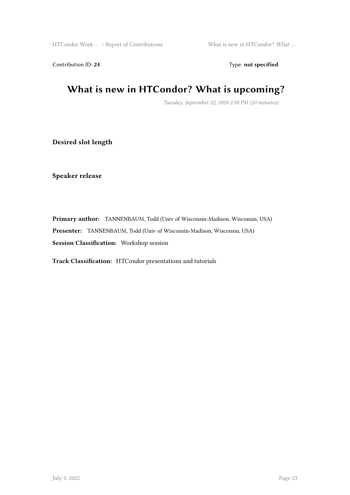Contribution ID: 24 Type: **not specified** 

# **What is new in HTCondor? What is upcoming?**

*Tuesday, September 22, 2020 2:50 PM (20 minutes)*

**Desired slot length**

**Speaker release**

**Primary author:** TANNENBAUM, Todd (Univ of Wisconsin-Madison, Wisconsin, USA) **Presenter:** TANNENBAUM, Todd (Univ of Wisconsin-Madison, Wisconsin, USA) **Session Classification:** Workshop session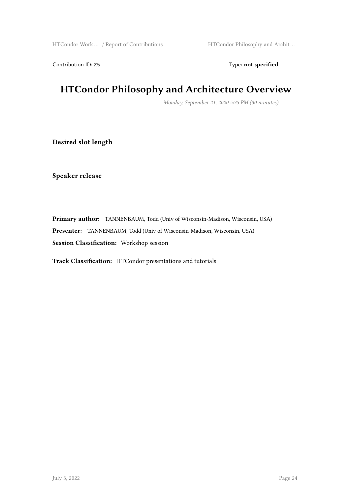Contribution ID: 25 Type: **not specified** 

# **HTCondor Philosophy and Architecture Overview**

*Monday, September 21, 2020 5:35 PM (30 minutes)*

**Desired slot length**

**Speaker release**

**Primary author:** TANNENBAUM, Todd (Univ of Wisconsin-Madison, Wisconsin, USA) **Presenter:** TANNENBAUM, Todd (Univ of Wisconsin-Madison, Wisconsin, USA) **Session Classification:** Workshop session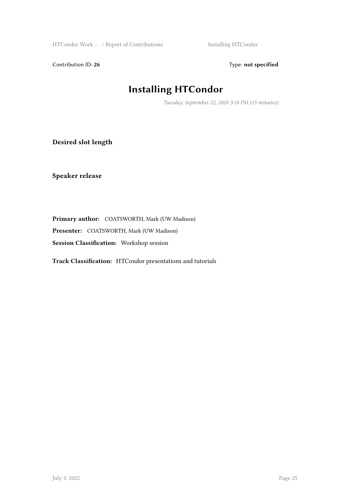HTCondor Work ... / Report of Contributions Installing HTCondor

Contribution ID: 26 Type: **not specified** 

# **Installing HTCondor**

*Tuesday, September 22, 2020 3:10 PM (15 minutes)*

**Desired slot length**

**Speaker release**

**Primary author:** COATSWORTH, Mark (UW Madison)

**Presenter:** COATSWORTH, Mark (UW Madison)

**Session Classification:** Workshop session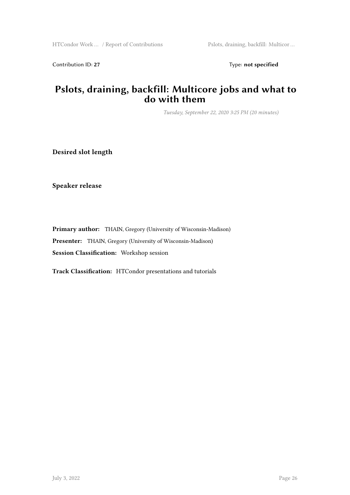Contribution ID: 27 Type: **not specified** 

### **Pslots, draining, backfill: Multicore jobs and what to do with them**

*Tuesday, September 22, 2020 3:25 PM (20 minutes)*

**Desired slot length**

**Speaker release**

**Primary author:** THAIN, Gregory (University of Wisconsin-Madison) **Presenter:** THAIN, Gregory (University of Wisconsin-Madison) **Session Classification:** Workshop session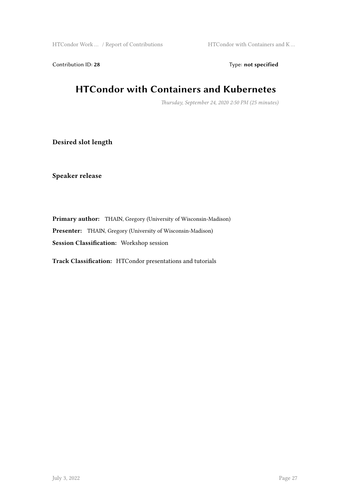HTCondor Work … / Report of Contributions HTCondor with Containers and K …

Contribution ID: 28 Type: **not specified** 

## **HTCondor with Containers and Kubernetes**

*Thursday, September 24, 2020 2:50 PM (25 minutes)*

**Desired slot length**

**Speaker release**

**Primary author:** THAIN, Gregory (University of Wisconsin-Madison) **Presenter:** THAIN, Gregory (University of Wisconsin-Madison) **Session Classification:** Workshop session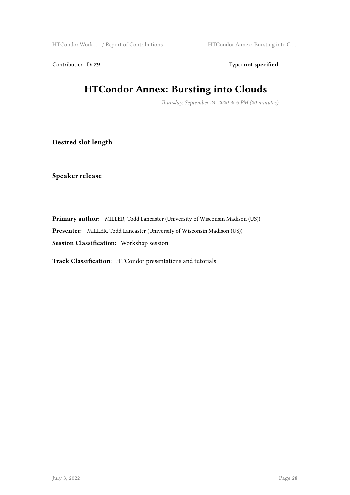HTCondor Work … / Report of Contributions HTCondor Annex: Bursting into C …

Contribution ID: 29 Type: **not specified** 

# **HTCondor Annex: Bursting into Clouds**

*Thursday, September 24, 2020 3:55 PM (20 minutes)*

**Desired slot length**

**Speaker release**

**Primary author:** MILLER, Todd Lancaster (University of Wisconsin Madison (US)) **Presenter:** MILLER, Todd Lancaster (University of Wisconsin Madison (US)) **Session Classification:** Workshop session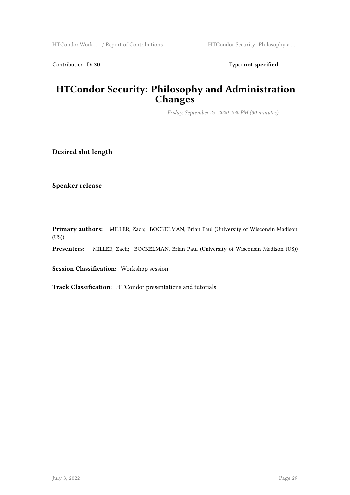Contribution ID: 30 Type: **not specified** 

### **HTCondor Security: Philosophy and Administration Changes**

*Friday, September 25, 2020 4:30 PM (30 minutes)*

**Desired slot length**

**Speaker release**

**Primary authors:** MILLER, Zach; BOCKELMAN, Brian Paul (University of Wisconsin Madison  $(US))$ 

**Presenters:** MILLER, Zach; BOCKELMAN, Brian Paul (University of Wisconsin Madison (US))

**Session Classification:** Workshop session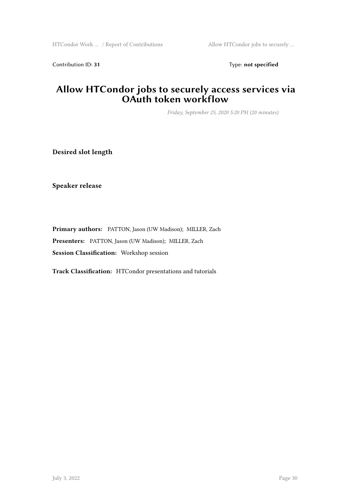Contribution ID: 31 Type: **not specified** 

### **Allow HTCondor jobs to securely access services via OAuth token workflow**

*Friday, September 25, 2020 5:20 PM (20 minutes)*

**Desired slot length**

**Speaker release**

**Primary authors:** PATTON, Jason (UW Madison); MILLER, Zach **Presenters:** PATTON, Jason (UW Madison); MILLER, Zach **Session Classification:** Workshop session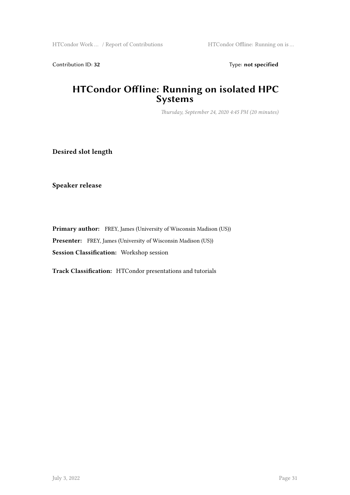Contribution ID: 32 Type: **not specified** 

### **HTCondor Offline: Running on isolated HPC Systems**

*Thursday, September 24, 2020 4:45 PM (20 minutes)*

**Desired slot length**

**Speaker release**

**Primary author:** FREY, James (University of Wisconsin Madison (US)) **Presenter:** FREY, James (University of Wisconsin Madison (US)) **Session Classification:** Workshop session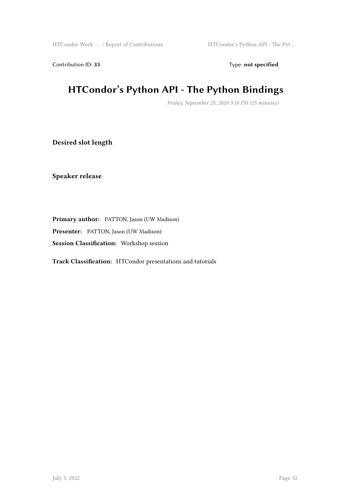Contribution ID: 33 Type: **not specified** 

# **HTCondor's Python API - The Python Bindings**

*Friday, September 25, 2020 3:10 PM (25 minutes)*

**Desired slot length**

**Speaker release**

**Primary author:** PATTON, Jason (UW Madison)

**Presenter:** PATTON, Jason (UW Madison)

**Session Classification:** Workshop session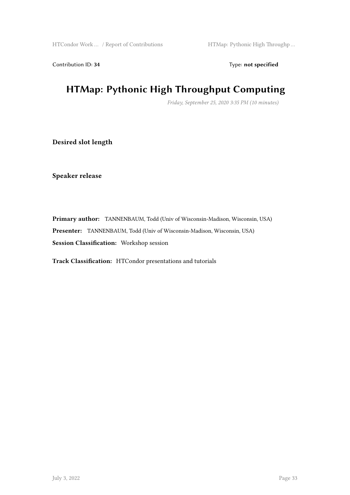Contribution ID: 34 Type: **not specified** 

# **HTMap: Pythonic High Throughput Computing**

*Friday, September 25, 2020 3:35 PM (10 minutes)*

**Desired slot length**

**Speaker release**

**Primary author:** TANNENBAUM, Todd (Univ of Wisconsin-Madison, Wisconsin, USA) **Presenter:** TANNENBAUM, Todd (Univ of Wisconsin-Madison, Wisconsin, USA) **Session Classification:** Workshop session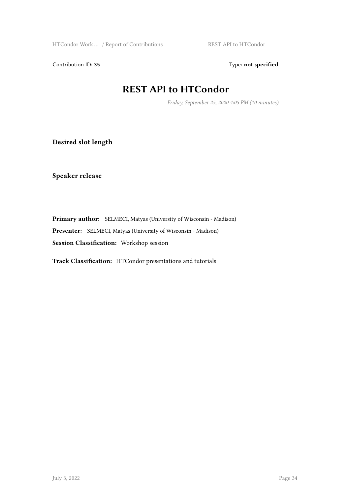Contribution ID: 35 Type: **not specified** 

### **REST API to HTCondor**

*Friday, September 25, 2020 4:05 PM (10 minutes)*

**Desired slot length**

**Speaker release**

**Primary author:** SELMECI, Matyas (University of Wisconsin - Madison) **Presenter:** SELMECI, Matyas (University of Wisconsin - Madison) **Session Classification:** Workshop session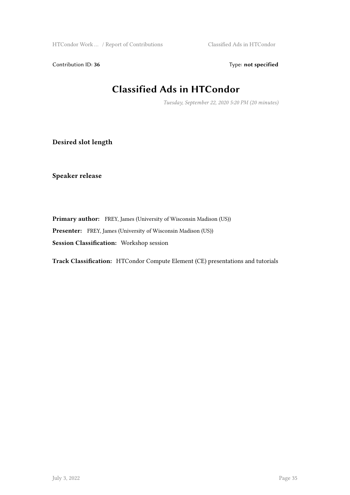HTCondor Work … / Report of Contributions Classified Ads in HTCondor

Contribution ID: 36 Type: **not specified** 

# **Classified Ads in HTCondor**

*Tuesday, September 22, 2020 5:20 PM (20 minutes)*

**Desired slot length**

**Speaker release**

**Primary author:** FREY, James (University of Wisconsin Madison (US)) **Presenter:** FREY, James (University of Wisconsin Madison (US)) **Session Classification:** Workshop session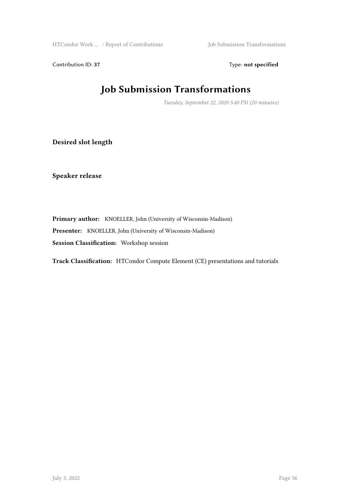HTCondor Work ... / Report of Contributions Job Submission Transformations

Contribution ID: 37 Type: **not specified** 

# **Job Submission Transformations**

*Tuesday, September 22, 2020 5:40 PM (20 minutes)*

**Desired slot length**

**Speaker release**

**Primary author:** KNOELLER, John (University of Wisconsin-Madison) **Presenter:** KNOELLER, John (University of Wisconsin-Madison) **Session Classification:** Workshop session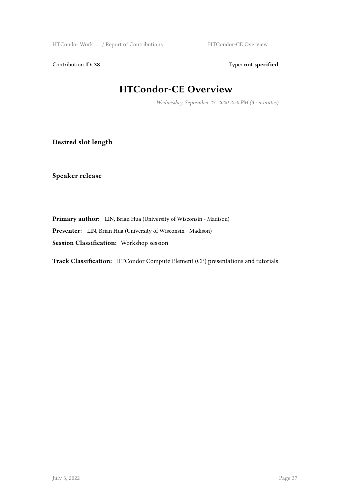HTCondor Work ... / Report of Contributions HTCondor-CE Overview

Contribution ID: 38 Type: **not specified** 

# **HTCondor-CE Overview**

*Wednesday, September 23, 2020 2:50 PM (35 minutes)*

**Desired slot length**

**Speaker release**

**Primary author:** LIN, Brian Hua (University of Wisconsin - Madison) **Presenter:** LIN, Brian Hua (University of Wisconsin - Madison) **Session Classification:** Workshop session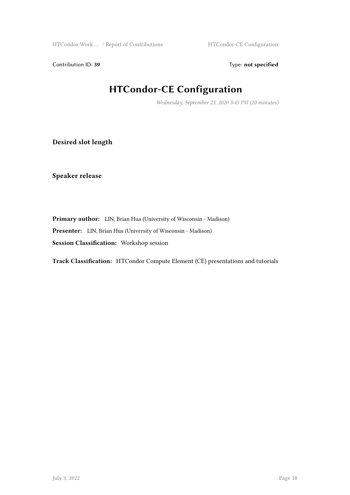Contribution ID: 39 Type: **not specified** 

# **HTCondor-CE Configuration**

*Wednesday, September 23, 2020 3:45 PM (20 minutes)*

**Desired slot length**

**Speaker release**

**Primary author:** LIN, Brian Hua (University of Wisconsin - Madison) **Presenter:** LIN, Brian Hua (University of Wisconsin - Madison) **Session Classification:** Workshop session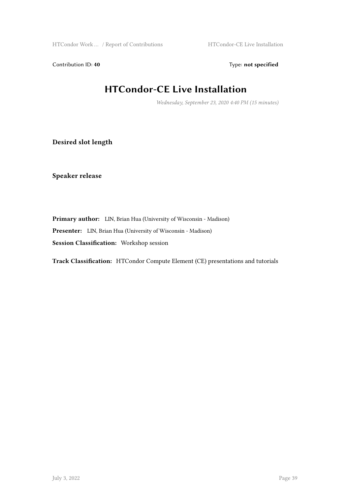HTCondor Work ... / Report of Contributions HTCondor-CE Live Installation

Contribution ID: 40 Type: **not specified** 

# **HTCondor-CE Live Installation**

*Wednesday, September 23, 2020 4:40 PM (15 minutes)*

**Desired slot length**

**Speaker release**

**Primary author:** LIN, Brian Hua (University of Wisconsin - Madison) **Presenter:** LIN, Brian Hua (University of Wisconsin - Madison) **Session Classification:** Workshop session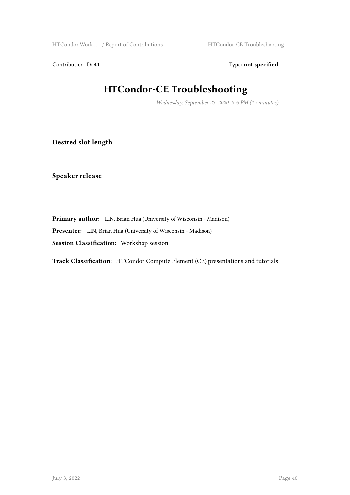HTCondor Work ... / Report of Contributions HTCondor-CE Troubleshooting

Contribution ID: 41 Type: **not specified** 

# **HTCondor-CE Troubleshooting**

*Wednesday, September 23, 2020 4:55 PM (15 minutes)*

**Desired slot length**

**Speaker release**

**Primary author:** LIN, Brian Hua (University of Wisconsin - Madison) **Presenter:** LIN, Brian Hua (University of Wisconsin - Madison) **Session Classification:** Workshop session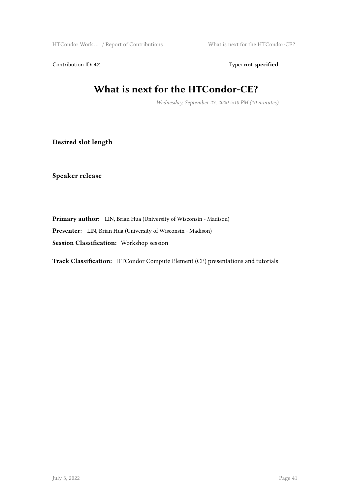HTCondor Work ... / Report of Contributions What is next for the HTCondor-CE?

Contribution ID: 42 Type: **not specified** 

# **What is next for the HTCondor-CE?**

*Wednesday, September 23, 2020 5:10 PM (10 minutes)*

**Desired slot length**

**Speaker release**

**Primary author:** LIN, Brian Hua (University of Wisconsin - Madison) **Presenter:** LIN, Brian Hua (University of Wisconsin - Madison) **Session Classification:** Workshop session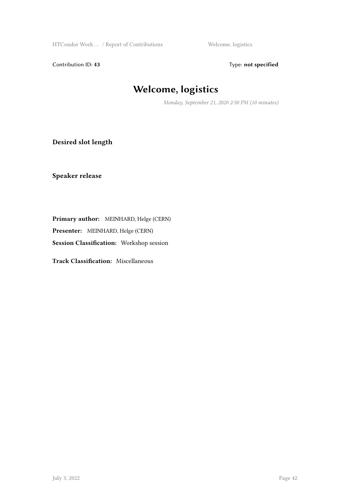HTCondor Work ... / Report of Contributions Welcome, logistics

Contribution ID: 43 Type: **not specified** 

# **Welcome, logistics**

*Monday, September 21, 2020 2:50 PM (10 minutes)*

**Desired slot length**

**Speaker release**

**Primary author:** MEINHARD, Helge (CERN)

**Presenter:** MEINHARD, Helge (CERN)

**Session Classification:** Workshop session

**Track Classification:** Miscellaneous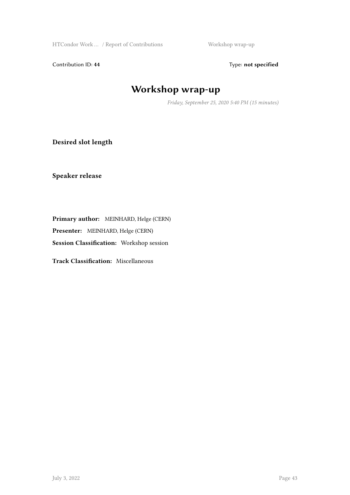HTCondor Work ... / Report of Contributions Workshop wrap-up

Contribution ID: 44 Type: **not specified** 

# **Workshop wrap-up**

*Friday, September 25, 2020 5:40 PM (15 minutes)*

**Desired slot length**

**Speaker release**

**Primary author:** MEINHARD, Helge (CERN)

**Presenter:** MEINHARD, Helge (CERN)

**Session Classification:** Workshop session

**Track Classification:** Miscellaneous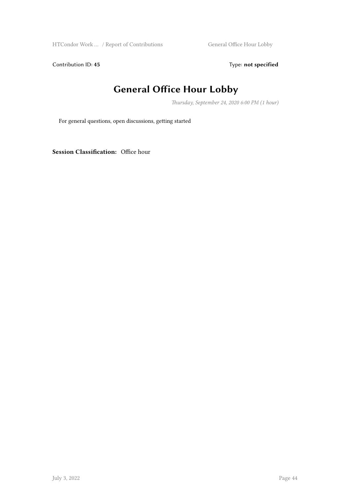HTCondor Work … / Report of Contributions General Office Hour Lobby

Contribution ID: 45 Type: **not specified** 

# **General Office Hour Lobby**

*Thursday, September 24, 2020 6:00 PM (1 hour)*

For general questions, open discussions, getting started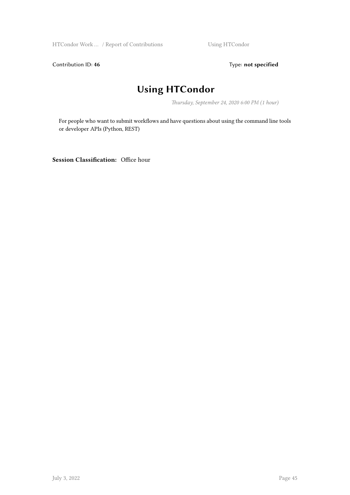HTCondor Work ... / Report of Contributions Using HTCondor

Contribution ID: 46 **Type:** not specified

# **Using HTCondor**

*Thursday, September 24, 2020 6:00 PM (1 hour)*

For people who want to submit workflows and have questions about using the command line tools or developer APIs (Python, REST)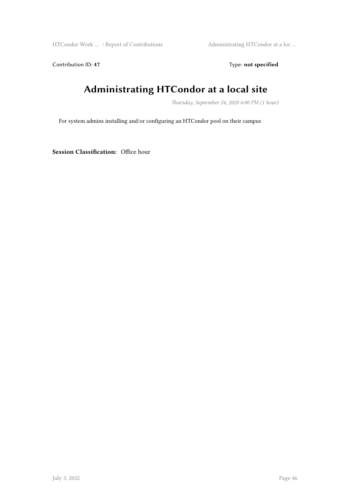HTCondor Work … / Report of Contributions Administrating HTCondor at a loc …

Contribution ID: 47 Type: **not specified** 

# **Administrating HTCondor at a local site**

*Thursday, September 24, 2020 6:00 PM (1 hour)*

For system admins installing and/or configuring an HTCondor pool on their campus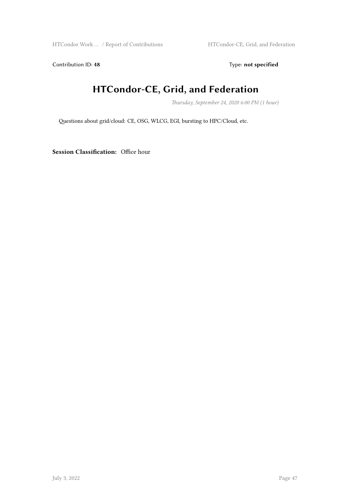HTCondor Work ... / Report of Contributions HTCondor-CE, Grid, and Federation

Contribution ID: 48 Type: **not specified** 

# **HTCondor-CE, Grid, and Federation**

*Thursday, September 24, 2020 6:00 PM (1 hour)*

Questions about grid/cloud: CE, OSG, WLCG, EGI, bursting to HPC/Cloud, etc.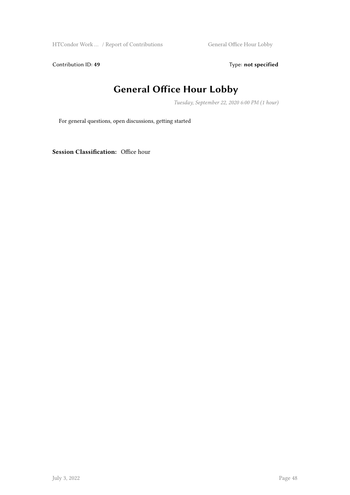HTCondor Work … / Report of Contributions General Office Hour Lobby

Contribution ID: 49 Type: **not specified** 

# **General Office Hour Lobby**

*Tuesday, September 22, 2020 6:00 PM (1 hour)*

For general questions, open discussions, getting started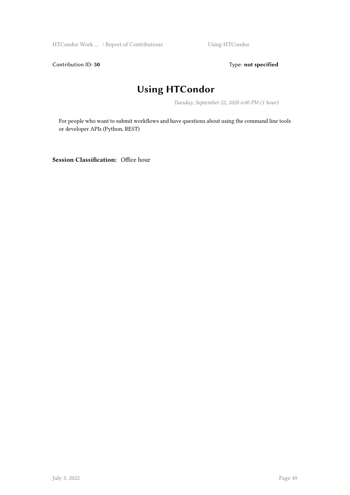HTCondor Work ... / Report of Contributions Using HTCondor

Contribution ID: 50 **Type:** not specified

# **Using HTCondor**

*Tuesday, September 22, 2020 6:00 PM (1 hour)*

For people who want to submit workflows and have questions about using the command line tools or developer APIs (Python, REST)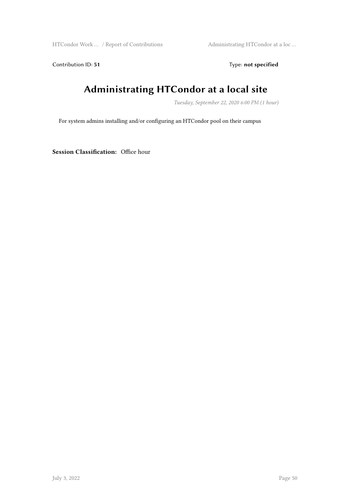HTCondor Work … / Report of Contributions Administrating HTCondor at a loc …

Contribution ID: 51 Type: **not specified** 

# **Administrating HTCondor at a local site**

*Tuesday, September 22, 2020 6:00 PM (1 hour)*

For system admins installing and/or configuring an HTCondor pool on their campus